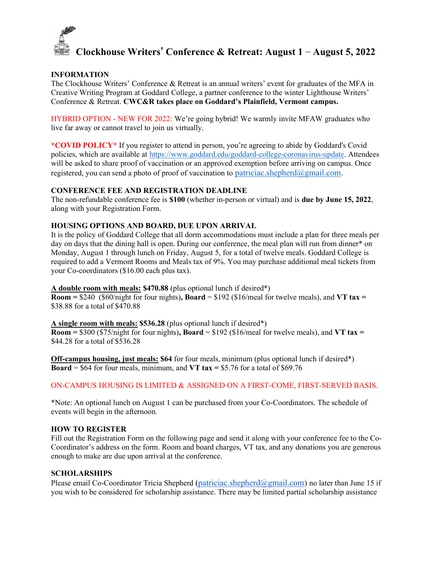# Clockhouse Writers' Conference & Retreat: August 1 – August 5, 2022

## INFORMATION

The Clockhouse Writers' Conference & Retreat is an annual writers' event for graduates of the MFA in Creative Writing Program at Goddard College, a partner conference to the winter Lighthouse Writers' Conference & Retreat. CWC&R takes place on Goddard's Plainfield, Vermont campus.

HYBRID OPTION - NEW FOR 2022: We're going hybrid! We warmly invite MFAW graduates who live far away or cannot travel to join us virtually.

\*COVID POLICY\* If you register to attend in person, you're agreeing to abide by Goddard's Covid policies, which are available at https://www.goddard.edu/goddard-college-coronavirus-update. Attendees will be asked to share proof of vaccination or an approved exemption before arriving on campus. Once registered, you can send a photo of proof of vaccination to patriciac.shepherd $(a)$ gmail.com.

#### CONFERENCE FEE AND REGISTRATION DEADLINE

The non-refundable conference fee is \$100 (whether in-person or virtual) and is due by June 15, 2022, along with your Registration Form.

## HOUSING OPTIONS AND BOARD, DUE UPON ARRIVAL

It is the policy of Goddard College that all dorm accommodations must include a plan for three meals per day on days that the dining hall is open. During our conference, the meal plan will run from dinner\* on Monday, August 1 through lunch on Friday, August 5, for a total of twelve meals. Goddard College is required to add a Vermont Rooms and Meals tax of 9%. You may purchase additional meal tickets from your Co-coordinators (\$16.00 each plus tax).

A double room with meals: \$470.88 (plus optional lunch if desired\*)

 $\overline{\text{Room}} = $240$  (\$60/night for four nights), Board = \$192 (\$16/meal for twelve meals), and VT tax = \$38.88 for a total of \$470.88

A single room with meals: \$536.28 (plus optional lunch if desired\*)

Room =  $$300$  (\$75/night for four nights), Board =  $$192$  (\$16/meal for twelve meals), and VT tax = \$44.28 for a total of \$536.28

Off-campus housing, just meals: \$64 for four meals, minimum (plus optional lunch if desired\*) **Board** = \$64 for four meals, minimum, and **VT tax** = \$5.76 for a total of \$69.76

# ON-CAMPUS HOUSING IS LIMITED & ASSIGNED ON A FIRST-COME, FIRST-SERVED BASIS.

\*Note: An optional lunch on August 1 can be purchased from your Co-Coordinators. The schedule of events will begin in the afternoon.

#### HOW TO REGISTER

Fill out the Registration Form on the following page and send it along with your conference fee to the Co-Coordinator's address on the form. Room and board charges, VT tax, and any donations you are generous enough to make are due upon arrival at the conference.

# **SCHOLARSHIPS**

Please email Co-Coordinator Tricia Shepherd (patriciac.shepherd@gmail.com) no later than June 15 if you wish to be considered for scholarship assistance. There may be limited partial scholarship assistance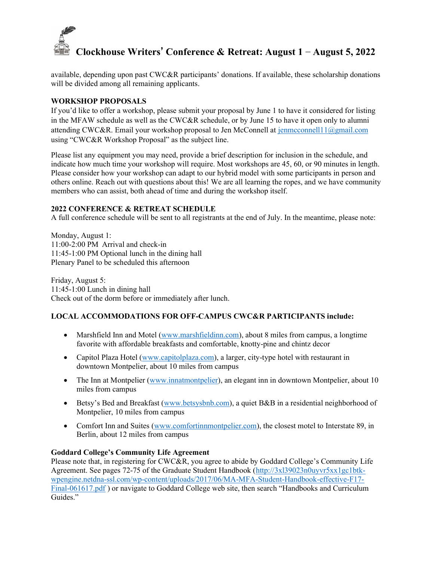

available, depending upon past CWC&R participants' donations. If available, these scholarship donations will be divided among all remaining applicants.

## WORKSHOP PROPOSALS

If you'd like to offer a workshop, please submit your proposal by June 1 to have it considered for listing in the MFAW schedule as well as the CWC&R schedule, or by June 15 to have it open only to alumni attending CWC&R. Email your workshop proposal to Jen McConnell at jenmcconnell11@gmail.com using "CWC&R Workshop Proposal" as the subject line.

Please list any equipment you may need, provide a brief description for inclusion in the schedule, and indicate how much time your workshop will require. Most workshops are 45, 60, or 90 minutes in length. Please consider how your workshop can adapt to our hybrid model with some participants in person and others online. Reach out with questions about this! We are all learning the ropes, and we have community members who can assist, both ahead of time and during the workshop itself.

#### 2022 CONFERENCE & RETREAT SCHEDULE

A full conference schedule will be sent to all registrants at the end of July. In the meantime, please note:

Monday, August 1: 11:00-2:00 PM Arrival and check-in 11:45-1:00 PM Optional lunch in the dining hall Plenary Panel to be scheduled this afternoon

Friday, August 5: 11:45-1:00 Lunch in dining hall Check out of the dorm before or immediately after lunch.

# LOCAL ACCOMMODATIONS FOR OFF-CAMPUS CWC&R PARTICIPANTS include:

- Marshfield Inn and Motel (www.marshfieldinn.com), about 8 miles from campus, a longtime favorite with affordable breakfasts and comfortable, knotty-pine and chintz decor
- Capitol Plaza Hotel (www.capitolplaza.com), a larger, city-type hotel with restaurant in downtown Montpelier, about 10 miles from campus
- The Inn at Montpelier (www.innatmontpelier), an elegant inn in downtown Montpelier, about 10 miles from campus
- Betsy's Bed and Breakfast (www.betsysbnb.com), a quiet B&B in a residential neighborhood of Montpelier, 10 miles from campus
- Comfort Inn and Suites (www.comfortinnmontpelier.com), the closest motel to Interstate 89, in Berlin, about 12 miles from campus

#### Goddard College's Community Life Agreement

Please note that, in registering for CWC&R, you agree to abide by Goddard College's Community Life Agreement. See pages 72-75 of the Graduate Student Handbook (http://3xl39023n0uyvr5xx1gc1btkwpengine.netdna-ssl.com/wp-content/uploads/2017/06/MA-MFA-Student-Handbook-effective-F17- Final-061617.pdf ) or navigate to Goddard College web site, then search "Handbooks and Curriculum Guides."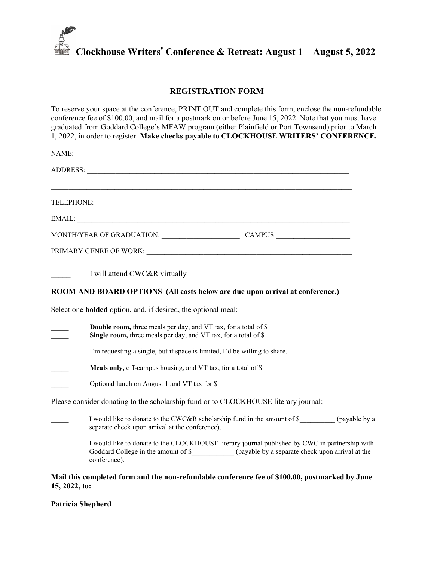

# REGISTRATION FORM

To reserve your space at the conference, PRINT OUT and complete this form, enclose the non-refundable conference fee of \$100.00, and mail for a postmark on or before June 15, 2022. Note that you must have graduated from Goddard College's MFAW program (either Plainfield or Port Townsend) prior to March 1, 2022, in order to register. Make checks payable to CLOCKHOUSE WRITERS' CONFERENCE.

| ADDRESS: New York Contract the Contract of the Contract of the Contract of the Contract of the Contract of the                                                                                            |
|-----------------------------------------------------------------------------------------------------------------------------------------------------------------------------------------------------------|
|                                                                                                                                                                                                           |
|                                                                                                                                                                                                           |
|                                                                                                                                                                                                           |
| MONTH/YEAR OF GRADUATION: CAMPUS                                                                                                                                                                          |
|                                                                                                                                                                                                           |
| I will attend CWC&R virtually                                                                                                                                                                             |
| ROOM AND BOARD OPTIONS (All costs below are due upon arrival at conference.)                                                                                                                              |
| Select one <b>bolded</b> option, and, if desired, the optional meal:                                                                                                                                      |
| <b>Double room,</b> three meals per day, and VT tax, for a total of \$<br>Single room, three meals per day, and VT tax, for a total of \$                                                                 |
| I'm requesting a single, but if space is limited, I'd be willing to share.<br>$\frac{1}{2}$                                                                                                               |
| Meals only, off-campus housing, and VT tax, for a total of \$<br>$\mathcal{L}(\mathcal{L})$                                                                                                               |
| Optional lunch on August 1 and VT tax for \$                                                                                                                                                              |
| Please consider donating to the scholarship fund or to CLOCKHOUSE literary journal:                                                                                                                       |
| I would like to donate to the CWC&R scholarship fund in the amount of \$ (payable by a<br>separate check upon arrival at the conference).                                                                 |
| I would like to donate to the CLOCKHOUSE literary journal published by CWC in partnership with<br>(payable by a separate check upon arrival at the<br>Goddard College in the amount of \$<br>conference). |

#### Mail this completed form and the non-refundable conference fee of \$100.00, postmarked by June 15, 2022, to:

Patricia Shepherd